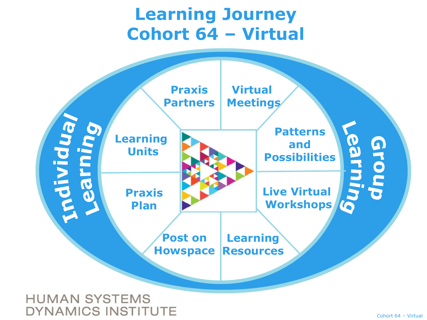## **Learning Journey Cohort 64 – Virtual**



**HUMAN SYSTEMS DYNAMICS INSTITUTE**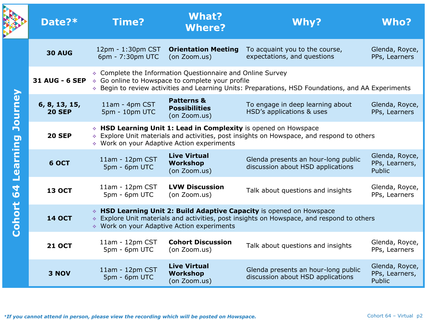|                                            | Date?*                         | Time?                                                                                                                                                                                                                                           | <b>What?</b><br><b>Where?</b>                                 | Why?                                                                     | <b>Who?</b>                                       |  |  |  |
|--------------------------------------------|--------------------------------|-------------------------------------------------------------------------------------------------------------------------------------------------------------------------------------------------------------------------------------------------|---------------------------------------------------------------|--------------------------------------------------------------------------|---------------------------------------------------|--|--|--|
| Journey<br>Learning<br>64<br><b>Cohort</b> | <b>30 AUG</b>                  | 12pm - 1:30pm CST<br>6pm - 7:30pm UTC                                                                                                                                                                                                           | <b>Orientation Meeting</b><br>(on Zoom.us)                    | To acquaint you to the course,<br>expectations, and questions            | Glenda, Royce,<br>PPs, Learners                   |  |  |  |
|                                            |                                | ♦ Complete the Information Questionnaire and Online Survey<br>31 AUG - 6 SEP $\rightarrow$ Go online to Howspace to complete your profile<br>* Begin to review activities and Learning Units: Preparations, HSD Foundations, and AA Experiments |                                                               |                                                                          |                                                   |  |  |  |
|                                            | 6, 8, 13, 15,<br><b>20 SEP</b> | 11am - 4pm CST<br>5pm - 10pm UTC                                                                                                                                                                                                                | <b>Patterns &amp;</b><br><b>Possibilities</b><br>(on Zoom.us) | To engage in deep learning about<br>HSD's applications & uses            | Glenda, Royce,<br>PPs, Learners                   |  |  |  |
|                                            | <b>20 SEP</b>                  | * HSD Learning Unit 1: Lead in Complexity is opened on Howspace<br>Explore Unit materials and activities, post insights on Howspace, and respond to others<br>♦ Work on your Adaptive Action experiments                                        |                                                               |                                                                          |                                                   |  |  |  |
|                                            | 6 OCT                          | 11am - 12pm CST<br>5pm - 6pm UTC                                                                                                                                                                                                                | <b>Live Virtual</b><br><b>Workshop</b><br>(on Zoom.us)        | Glenda presents an hour-long public<br>discussion about HSD applications | Glenda, Royce,<br>PPs, Learners,<br><b>Public</b> |  |  |  |
|                                            | <b>13 OCT</b>                  | 11am - 12pm CST<br>5pm - 6pm UTC                                                                                                                                                                                                                | <b>LVW Discussion</b><br>(on Zoom.us)                         | Talk about questions and insights                                        | Glenda, Royce,<br>PPs, Learners                   |  |  |  |
|                                            | <b>14 OCT</b>                  | * HSD Learning Unit 2: Build Adaptive Capacity is opened on Howspace<br>Explore Unit materials and activities, post insights on Howspace, and respond to others<br>♦ Work on your Adaptive Action experiments                                   |                                                               |                                                                          |                                                   |  |  |  |
|                                            | <b>21 OCT</b>                  | $11am - 12pm CST$<br>5pm - 6pm UTC                                                                                                                                                                                                              | <b>Cohort Discussion</b><br>(on Zoom.us)                      | Talk about questions and insights                                        | Glenda, Royce,<br>PPs, Learners                   |  |  |  |
|                                            | 3 NOV                          | 11am - 12pm CST<br>5pm - 6pm UTC                                                                                                                                                                                                                | <b>Live Virtual</b><br><b>Workshop</b><br>(on Zoom.us)        | Glenda presents an hour-long public<br>discussion about HSD applications | Glenda, Royce,<br>PPs, Learners,<br><b>Public</b> |  |  |  |

þ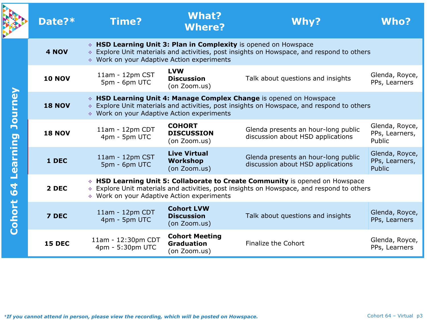|          | Date?*        | <b>Time?</b>                                                                                                                                                                                                            | <b>What?</b><br><b>Where?</b>                              | Why?                                                                     | <b>Who?</b>                                |  |  |  |  |
|----------|---------------|-------------------------------------------------------------------------------------------------------------------------------------------------------------------------------------------------------------------------|------------------------------------------------------------|--------------------------------------------------------------------------|--------------------------------------------|--|--|--|--|
|          | 4 NOV         | ↓ HSD Learning Unit 3: Plan in Complexity is opened on Howspace<br>↓ Explore Unit materials and activities, post insights on Howspace, and respond to others<br>♦ Work on your Adaptive Action experiments              |                                                            |                                                                          |                                            |  |  |  |  |
|          | <b>10 NOV</b> | 11am - 12pm CST<br>5pm - 6pm UTC                                                                                                                                                                                        | <b>LVW</b><br><b>Discussion</b><br>(on Zoom.us)            | Talk about questions and insights                                        | Glenda, Royce,<br>PPs, Learners            |  |  |  |  |
| Journey  | <b>18 NOV</b> | ↓ HSD Learning Unit 4: Manage Complex Change is opened on Howspace<br>♦ Explore Unit materials and activities, post insights on Howspace, and respond to others<br>♦ Work on your Adaptive Action experiments           |                                                            |                                                                          |                                            |  |  |  |  |
|          | <b>18 NOV</b> | 11am - 12pm CDT<br>4pm - 5pm UTC                                                                                                                                                                                        | <b>COHORT</b><br><b>DISCUSSION</b><br>(on Zoom.us)         | Glenda presents an hour-long public<br>discussion about HSD applications | Glenda, Royce,<br>PPs, Learners,<br>Public |  |  |  |  |
| Learning | 1 DEC         | 11am - 12pm CST<br>5pm - 6pm UTC                                                                                                                                                                                        | <b>Live Virtual</b><br><b>Workshop</b><br>(on Zoom.us)     | Glenda presents an hour-long public<br>discussion about HSD applications | Glenda, Royce,<br>PPs, Learners,<br>Public |  |  |  |  |
| 64       | 2 DEC         | * HSD Learning Unit 5: Collaborate to Create Community is opened on Howspace<br>♦ Explore Unit materials and activities, post insights on Howspace, and respond to others<br>♦ Work on your Adaptive Action experiments |                                                            |                                                                          |                                            |  |  |  |  |
| Cohort   | 7 DEC         | 11am - 12pm CDT<br>4pm - 5pm UTC                                                                                                                                                                                        | <b>Cohort LVW</b><br><b>Discussion</b><br>(on Zoom.us)     | Talk about questions and insights                                        | Glenda, Royce,<br>PPs, Learners            |  |  |  |  |
|          | <b>15 DEC</b> | 11am - 12:30pm CDT<br>4pm - 5:30pm UTC                                                                                                                                                                                  | <b>Cohort Meeting</b><br><b>Graduation</b><br>(on Zoom.us) | <b>Finalize the Cohort</b>                                               | Glenda, Royce,<br>PPs, Learners            |  |  |  |  |